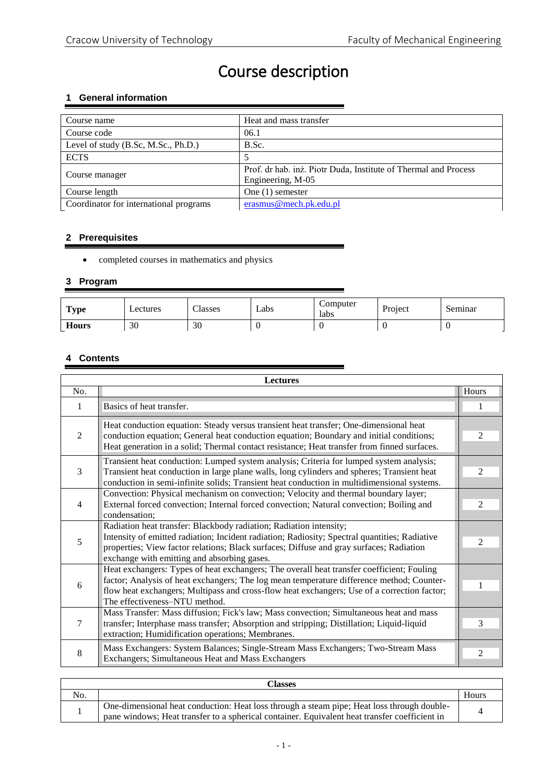# Course description

# **1 General information**

| Course name                            | Heat and mass transfer                                          |
|----------------------------------------|-----------------------------------------------------------------|
| Course code                            | 06.1                                                            |
| Level of study (B.Sc, M.Sc., Ph.D.)    | B.Sc.                                                           |
| <b>ECTS</b>                            |                                                                 |
| Course manager                         | Prof. dr hab. inż. Piotr Duda, Institute of Thermal and Process |
|                                        | Engineering, M-05                                               |
| Course length                          | One $(1)$ semester                                              |
| Coordinator for international programs | erasmus@mech.pk.edu.pl                                          |

# **2 Prerequisites**

completed courses in mathematics and physics

#### **3 Program**

| <b>Type</b>  | Lectures | Classes | Labs | Computer<br>labs | Project | Seminar |
|--------------|----------|---------|------|------------------|---------|---------|
| <b>Hours</b> | 30       | 30      |      |                  |         |         |

#### **4 Contents**

| <b>Lectures</b> |                                                                                                                                                                                                                                                                                                                        |                |  |  |
|-----------------|------------------------------------------------------------------------------------------------------------------------------------------------------------------------------------------------------------------------------------------------------------------------------------------------------------------------|----------------|--|--|
| No.             |                                                                                                                                                                                                                                                                                                                        | Hours          |  |  |
| 1               | Basics of heat transfer.                                                                                                                                                                                                                                                                                               |                |  |  |
| $\overline{2}$  | Heat conduction equation: Steady versus transient heat transfer; One-dimensional heat<br>conduction equation; General heat conduction equation; Boundary and initial conditions;<br>Heat generation in a solid; Thermal contact resistance; Heat transfer from finned surfaces.                                        | $\mathfrak{D}$ |  |  |
| $\overline{3}$  | Transient heat conduction: Lumped system analysis; Criteria for lumped system analysis;<br>Transient heat conduction in large plane walls, long cylinders and spheres; Transient heat<br>conduction in semi-infinite solids; Transient heat conduction in multidimensional systems.                                    | 2              |  |  |
| $\overline{4}$  | Convection: Physical mechanism on convection; Velocity and thermal boundary layer;<br>External forced convection; Internal forced convection; Natural convection; Boiling and<br>condensation:                                                                                                                         | $\mathfrak{D}$ |  |  |
| 5               | Radiation heat transfer: Blackbody radiation; Radiation intensity;<br>Intensity of emitted radiation; Incident radiation; Radiosity; Spectral quantities; Radiative<br>properties; View factor relations; Black surfaces; Diffuse and gray surfaces; Radiation<br>exchange with emitting and absorbing gases.          | $\mathfrak{D}$ |  |  |
| 6               | Heat exchangers: Types of heat exchangers; The overall heat transfer coefficient; Fouling<br>factor; Analysis of heat exchangers; The log mean temperature difference method; Counter-<br>flow heat exchangers; Multipass and cross-flow heat exchangers; Use of a correction factor;<br>The effectiveness-NTU method. |                |  |  |
| 7               | Mass Transfer: Mass diffusion; Fick's law; Mass convection; Simultaneous heat and mass<br>transfer; Interphase mass transfer; Absorption and stripping; Distillation; Liquid-liquid<br>extraction; Humidification operations; Membranes.                                                                               | 3              |  |  |
| 8               | Mass Exchangers: System Balances; Single-Stream Mass Exchangers; Two-Stream Mass<br>Exchangers; Simultaneous Heat and Mass Exchangers                                                                                                                                                                                  | $\mathfrak{D}$ |  |  |

| No.<br>One-dimensional heat conduction: Heat loss through a steam pipe; Heat loss through double- | Classes |       |  |
|---------------------------------------------------------------------------------------------------|---------|-------|--|
|                                                                                                   |         | Hours |  |
| pane windows: Heat transfer to a spherical container. Equivalent heat transfer coefficient in     |         |       |  |